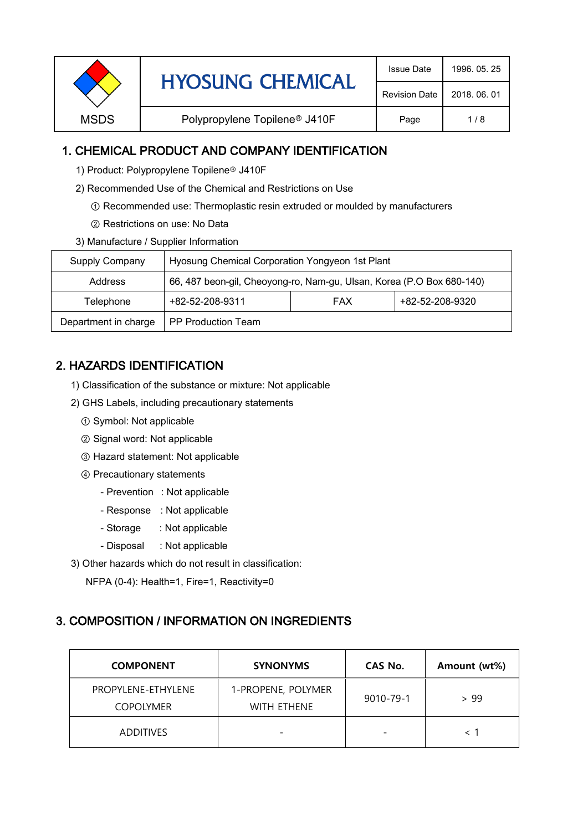| <b>Revision Date</b>                                                    | <b>HYOSUNG CHEMICAL</b> | <b>Issue Date</b> | 1996, 05, 25 |
|-------------------------------------------------------------------------|-------------------------|-------------------|--------------|
|                                                                         |                         |                   | 2018, 06, 01 |
| <b>MSDS</b><br>Polypropylene Topilene <sup>®</sup> J410F<br>Page<br>1/8 |                         |                   |              |

### 1. CHEMICAL PRODUCT AND COMPANY IDENTIFICATION

- 1) Product: Polypropylene Topilene<sup>®</sup> J410F
- 2) Recommended Use of the Chemical and Restrictions on Use
	- ① Recommended use: Thermoplastic resin extruded or moulded by manufacturers
	- ② Restrictions on use: No Data
- 3) Manufacture / Supplier Information

| Supply Company       | Hyosung Chemical Corporation Yongyeon 1st Plant                       |            |                 |  |
|----------------------|-----------------------------------------------------------------------|------------|-----------------|--|
| Address              | 66, 487 beon-gil, Cheoyong-ro, Nam-gu, Ulsan, Korea (P.O Box 680-140) |            |                 |  |
| Telephone            | +82-52-208-9311                                                       | <b>FAX</b> | +82-52-208-9320 |  |
| Department in charge | <b>PP Production Team</b>                                             |            |                 |  |

# 2. HAZARDS IDENTIFICATION

- 1) Classification of the substance or mixture: Not applicable
- 2) GHS Labels, including precautionary statements
	- ① Symbol: Not applicable
	- ② Signal word: Not applicable
	- ③ Hazard statement: Not applicable
	- ④ Precautionary statements
		- Prevention : Not applicable
		- Response : Not applicable
		- Storage : Not applicable
		- Disposal : Not applicable
- 3) Other hazards which do not result in classification:

NFPA (0-4): Health=1, Fire=1, Reactivity=0

#### 3. COMPOSITION / INFORMATION ON INGREDIENTS

| <b>COMPONENT</b>                       | <b>SYNONYMS</b>                          | CAS No.                  | Amount (wt%) |
|----------------------------------------|------------------------------------------|--------------------------|--------------|
| PROPYLENE-ETHYLENE<br><b>COPOLYMER</b> | 1-PROPENE, POLYMER<br><b>WITH ETHENE</b> | 9010-79-1                | > 99         |
| <b>ADDITIVES</b>                       |                                          | $\overline{\phantom{0}}$ |              |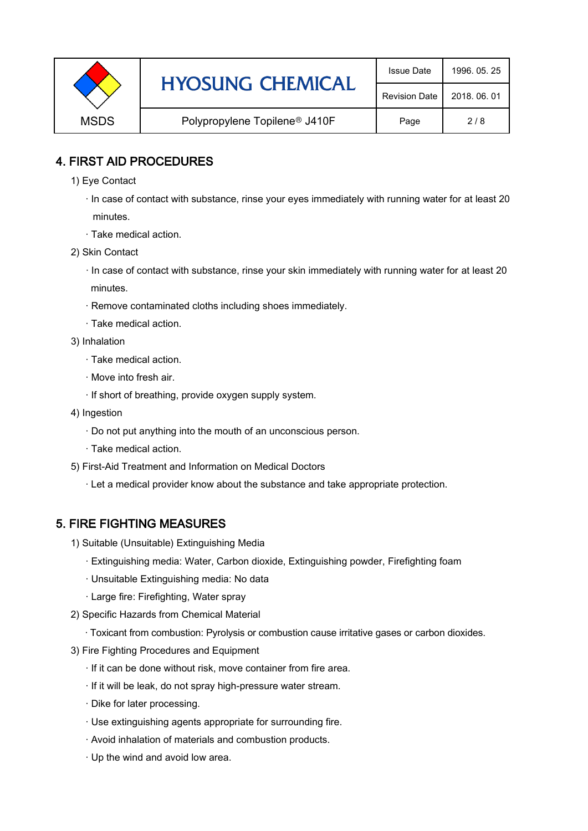|             | <b>HYOSUNG CHEMICAL</b>                   | <b>Issue Date</b>    | 1996, 05, 25 |
|-------------|-------------------------------------------|----------------------|--------------|
|             |                                           | <b>Revision Date</b> | 2018, 06, 01 |
| <b>MSDS</b> | Polypropylene Topilene <sup>®</sup> J410F | Page                 | 2/8          |

### 4. FIRST AID PROCEDURES

- 1) Eye Contact
	- · In case of contact with substance, rinse your eyes immediately with running water for at least 20 minutes.
	- · Take medical action.
- 2) Skin Contact
	- · In case of contact with substance, rinse your skin immediately with running water for at least 20 minutes.
	- · Remove contaminated cloths including shoes immediately.
	- · Take medical action.
- 3) Inhalation
	- · Take medical action.
	- · Move into fresh air.
	- · If short of breathing, provide oxygen supply system.
- 4) Ingestion
	- · Do not put anything into the mouth of an unconscious person.
	- · Take medical action.
- 5) First-Aid Treatment and Information on Medical Doctors
	- · Let a medical provider know about the substance and take appropriate protection.

## 5. FIRE FIGHTING MEASURES

- 1) Suitable (Unsuitable) Extinguishing Media
	- · Extinguishing media: Water, Carbon dioxide, Extinguishing powder, Firefighting foam
	- · Unsuitable Extinguishing media: No data
	- · Large fire: Firefighting, Water spray
- 2) Specific Hazards from Chemical Material
	- · Toxicant from combustion: Pyrolysis or combustion cause irritative gases or carbon dioxides.
- 3) Fire Fighting Procedures and Equipment
	- · If it can be done without risk, move container from fire area.
	- · If it will be leak, do not spray high-pressure water stream.
	- · Dike for later processing.
	- · Use extinguishing agents appropriate for surrounding fire.
	- · Avoid inhalation of materials and combustion products.
	- · Up the wind and avoid low area.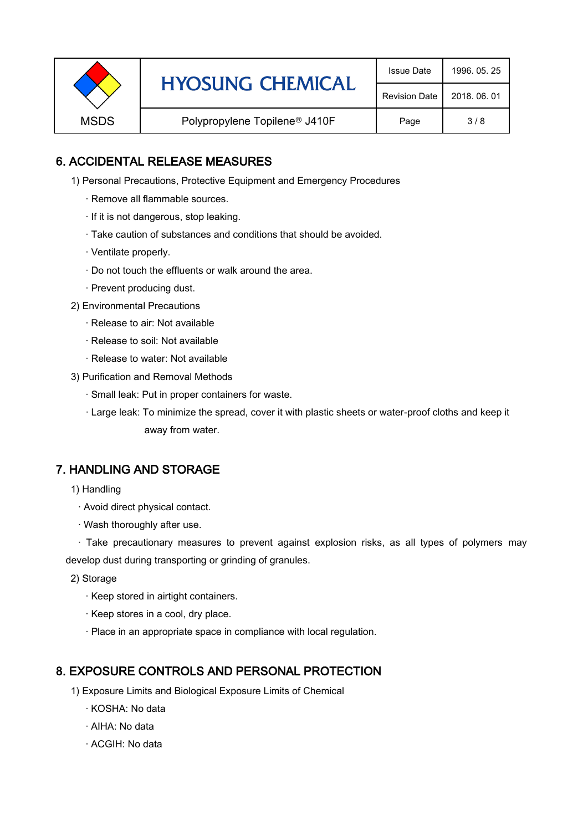|             | <b>HYOSUNG CHEMICAL</b>                   | <b>Issue Date</b> | 1996, 05, 25 |
|-------------|-------------------------------------------|-------------------|--------------|
|             | <b>Revision Date</b>                      | 2018, 06, 01      |              |
| <b>MSDS</b> | Polypropylene Topilene <sup>®</sup> J410F | Page              | 3/8          |

### 6. ACCIDENTAL RELEASE MEASURES

- 1) Personal Precautions, Protective Equipment and Emergency Procedures
	- · Remove all flammable sources.
	- · If it is not dangerous, stop leaking.
	- · Take caution of substances and conditions that should be avoided.
	- · Ventilate properly.
	- · Do not touch the effluents or walk around the area.
	- · Prevent producing dust.
- 2) Environmental Precautions
	- · Release to air: Not available
	- · Release to soil: Not available
	- · Release to water: Not available
- 3) Purification and Removal Methods
	- · Small leak: Put in proper containers for waste.
	- ,· Large leak: To minimize the spread, cover it with plastic sheets or water-proof cloths and keep it away from water.

#### 7. HANDLING AND STORAGE

- 1) Handling
	- · Avoid direct physical contact.
	- · Wash thoroughly after use.

· Take precautionary measures to prevent against explosion risks, as all types of polymers may develop dust during transporting or grinding of granules.

- 2) Storage
	- · Keep stored in airtight containers.
	- · Keep stores in a cool, dry place.
	- · Place in an appropriate space in compliance with local regulation.

#### 8. EXPOSURE CONTROLS AND PERSONAL PROTECTION

- 1) Exposure Limits and Biological Exposure Limits of Chemical
	- · KOSHA: No data
	- · AIHA: No data
	- · ACGIH: No data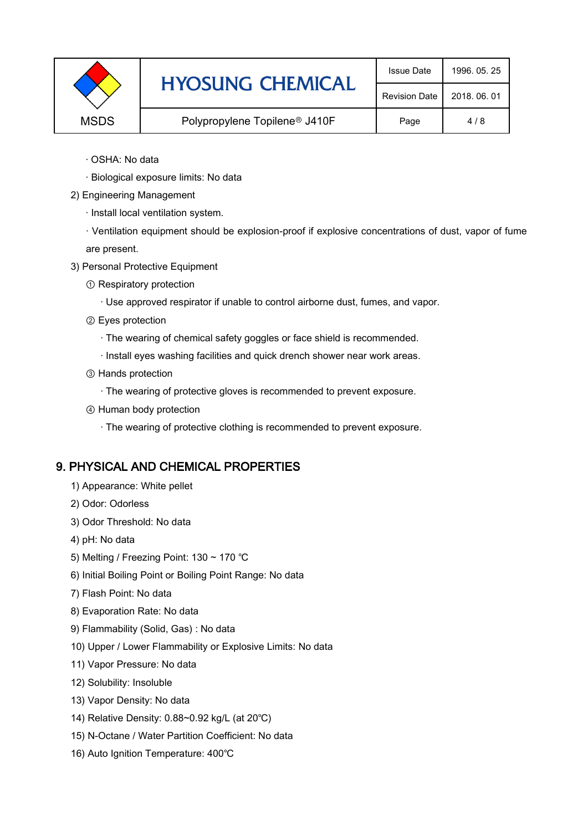|             | <b>HYOSUNG CHEMICAL</b>                   | <b>Issue Date</b>    | 1996, 05, 25 |
|-------------|-------------------------------------------|----------------------|--------------|
|             |                                           | <b>Revision Date</b> | 2018, 06, 01 |
| <b>MSDS</b> | Polypropylene Topilene <sup>®</sup> J410F | Page                 | 4/8          |

- · OSHA: No data
- · Biological exposure limits: No data
- 2) Engineering Management
	- · Install local ventilation system.

· Ventilation equipment should be explosion-proof if explosive concentrations of dust, vapor of fume are present.

- 3) Personal Protective Equipment
	- ① Respiratory protection
		- · Use approved respirator if unable to control airborne dust, fumes, and vapor.
	- ② Eyes protection
		- · The wearing of chemical safety goggles or face shield is recommended.
		- · Install eyes washing facilities and quick drench shower near work areas.
	- ③ Hands protection
		- · The wearing of protective gloves is recommended to prevent exposure.
	- ④ Human body protection
		- · The wearing of protective clothing is recommended to prevent exposure.

## 9. PHYSICAL AND CHEMICAL PROPERTIES

- 1) Appearance: White pellet
- 2) Odor: Odorless
- 3) Odor Threshold: No data
- 4) pH: No data
- 5) Melting / Freezing Point: 130 ~ 170 ℃
- 6) Initial Boiling Point or Boiling Point Range: No data
- 7) Flash Point: No data
- 8) Evaporation Rate: No data
- 9) Flammability (Solid, Gas) : No data
- 10) Upper / Lower Flammability or Explosive Limits: No data
- 11) Vapor Pressure: No data
- 12) Solubility: Insoluble
- 13) Vapor Density: No data
- 14) Relative Density: 0.88~0.92 kg/L (at 20℃)
- 15) N-Octane / Water Partition Coefficient: No data
- 16) Auto Ignition Temperature: 400℃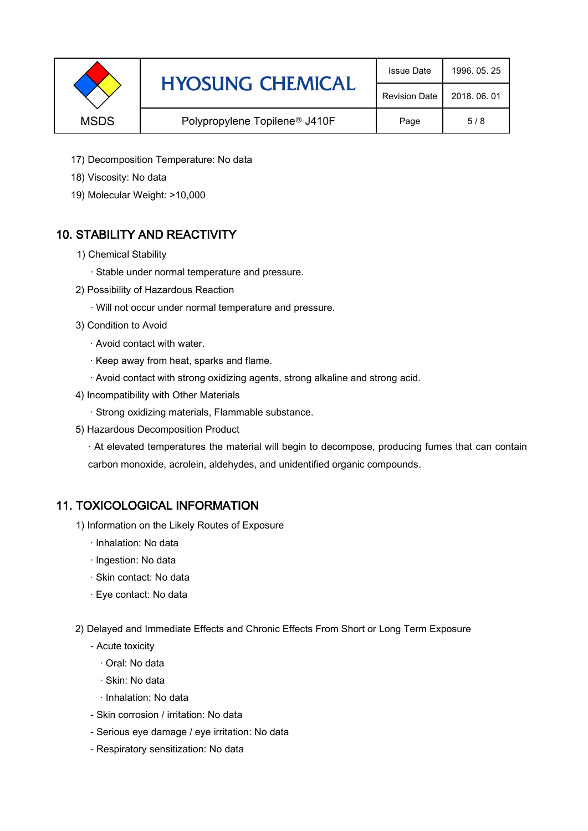|             | <b>HYOSUNG CHEMICAL</b>                   | <b>Issue Date</b>    | 1996, 05, 25 |
|-------------|-------------------------------------------|----------------------|--------------|
|             |                                           | <b>Revision Date</b> | 2018, 06, 01 |
| <b>MSDS</b> | Polypropylene Topilene <sup>®</sup> J410F | Page                 | 5/8          |

- 17) Decomposition Temperature: No data
- 18) Viscosity: No data
- 19) Molecular Weight: >10,000

## 10. STABILITY AND REACTIVITY

- 1) Chemical Stability
	- · Stable under normal temperature and pressure.
- 2) Possibility of Hazardous Reaction
	- · Will not occur under normal temperature and pressure.
- 3) Condition to Avoid
	- · Avoid contact with water.
	- · Keep away from heat, sparks and flame.
	- · Avoid contact with strong oxidizing agents, strong alkaline and strong acid.
- 4) Incompatibility with Other Materials
	- · Strong oxidizing materials, Flammable substance.
- 5) Hazardous Decomposition Product

· At elevated temperatures the material will begin to decompose, producing fumes that can contain carbon monoxide, acrolein, aldehydes, and unidentified organic compounds.

#### 11. TOXICOLOGICAL INFORMATION

- 1) Information on the Likely Routes of Exposure
	- · Inhalation: No data
	- · Ingestion: No data
	- · Skin contact: No data
	- · Eye contact: No data
- 2) Delayed and Immediate Effects and Chronic Effects From Short or Long Term Exposure
	- Acute toxicity
		- · Oral: No data
		- · Skin: No data
		- · Inhalation: No data
	- Skin corrosion / irritation: No data
	- Serious eye damage / eye irritation: No data
	- Respiratory sensitization: No data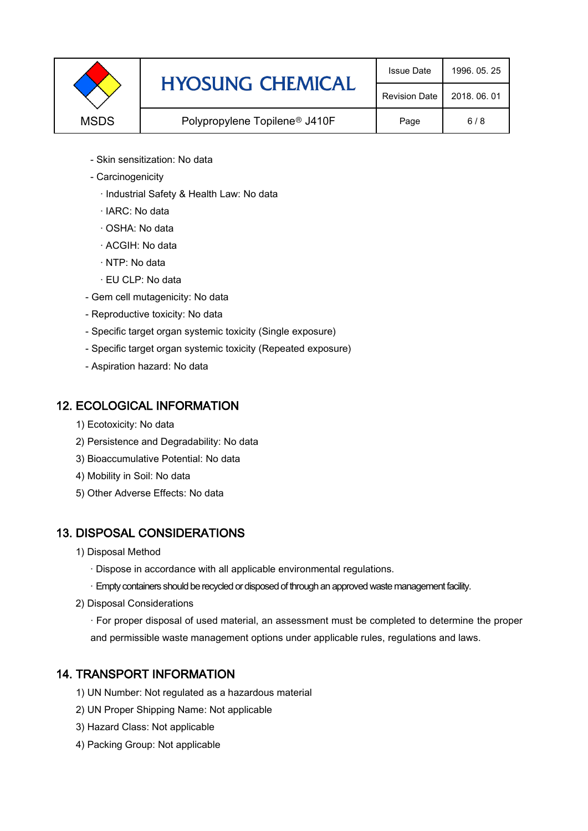|             | <b>HYOSUNG CHEMICAL</b>                   | <b>Issue Date</b>    | 1996, 05, 25 |
|-------------|-------------------------------------------|----------------------|--------------|
|             |                                           | <b>Revision Date</b> | 2018, 06, 01 |
| <b>MSDS</b> | Polypropylene Topilene <sup>®</sup> J410F | Page                 | 6/8          |

- Skin sensitization: No data
- Carcinogenicity
	- · Industrial Safety & Health Law: No data
	- · IARC: No data
	- · OSHA: No data
	- · ACGIH: No data
	- · NTP: No data
	- · EU CLP: No data
- Gem cell mutagenicity: No data
- Reproductive toxicity: No data
- Specific target organ systemic toxicity (Single exposure)
- Specific target organ systemic toxicity (Repeated exposure)
- Aspiration hazard: No data

#### 12. ECOLOGICAL INFORMATION

- 1) Ecotoxicity: No data
- 2) Persistence and Degradability: No data
- 3) Bioaccumulative Potential: No data
- 4) Mobility in Soil: No data
- 5) Other Adverse Effects: No data

## 13. DISPOSAL CONSIDERATIONS

- 1) Disposal Method
	- · Dispose in accordance with all applicable environmental regulations.
	- · Empty containers should be recycled or disposed of through an approved waste management facility.
- 2) Disposal Considerations
	- · For proper disposal of used material, an assessment must be completed to determine the proper and permissible waste management options under applicable rules, regulations and laws.

## 14. TRANSPORT INFORMATION

- 1) UN Number: Not regulated as a hazardous material
- 2) UN Proper Shipping Name: Not applicable
- 3) Hazard Class: Not applicable
- 4) Packing Group: Not applicable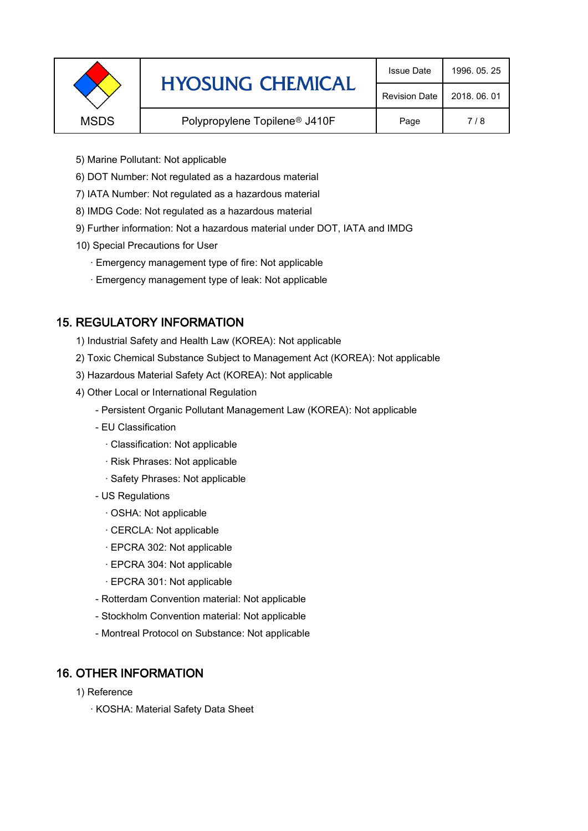|             | <b>HYOSUNG CHEMICAL</b>                   | <b>Issue Date</b>    | 1996, 05, 25 |
|-------------|-------------------------------------------|----------------------|--------------|
|             |                                           | <b>Revision Date</b> | 2018, 06, 01 |
| <b>MSDS</b> | Polypropylene Topilene <sup>®</sup> J410F | Page                 | 7/8          |
|             |                                           |                      |              |

- 5) Marine Pollutant: Not applicable
- 6) DOT Number: Not regulated as a hazardous material
- 7) IATA Number: Not regulated as a hazardous material
- 8) IMDG Code: Not regulated as a hazardous material
- 9) Further information: Not a hazardous material under DOT, IATA and IMDG
- 10) Special Precautions for User
	- · Emergency management type of fire: Not applicable
	- · Emergency management type of leak: Not applicable

## 15. REGULATORY INFORMATION

- 1) Industrial Safety and Health Law (KOREA): Not applicable
- 2) Toxic Chemical Substance Subject to Management Act (KOREA): Not applicable
- 3) Hazardous Material Safety Act (KOREA): Not applicable
- 4) Other Local or International Regulation
	- Persistent Organic Pollutant Management Law (KOREA): Not applicable
	- EU Classification
		- · Classification: Not applicable
		- · Risk Phrases: Not applicable
		- · Safety Phrases: Not applicable
	- US Regulations
		- · OSHA: Not applicable
		- · CERCLA: Not applicable
		- · EPCRA 302: Not applicable
		- · EPCRA 304: Not applicable
		- · EPCRA 301: Not applicable
	- Rotterdam Convention material: Not applicable
	- Stockholm Convention material: Not applicable
	- Montreal Protocol on Substance: Not applicable

## 16. OTHER INFORMATION

- 1) Reference
	- · KOSHA: Material Safety Data Sheet